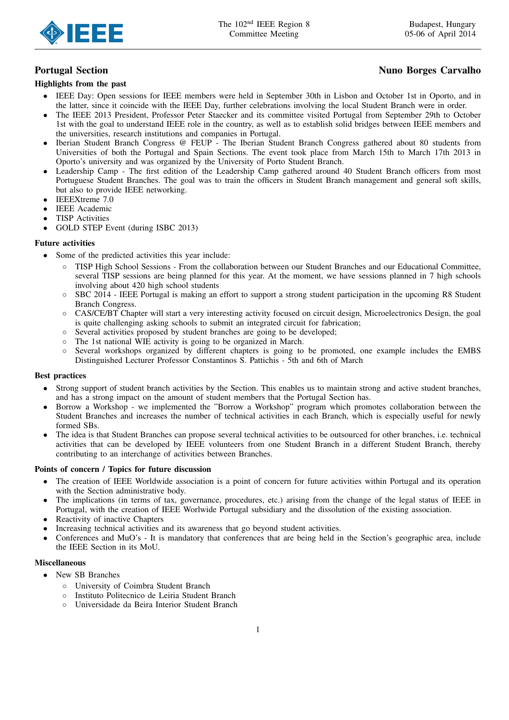

## Highlights from the past

# Portugal Section **Nuno Borges Carvalho**

- IEEE Day: Open sessions for IEEE members were held in September 30th in Lisbon and October 1st in Oporto, and in the latter, since it coincide with the IEEE Day, further celebrations involving the local Student Branch were in order.
- The IEEE 2013 President, Professor Peter Staecker and its committee visited Portugal from September 29th to October 1st with the goal to understand IEEE role in the country, as well as to establish solid bridges between IEEE members and the universities, research institutions and companies in Portugal.
- Iberian Student Branch Congress @ FEUP The Iberian Student Branch Congress gathered about 80 students from Universities of both the Portugal and Spain Sections. The event took place from March 15th to March 17th 2013 in Oporto's university and was organized by the University of Porto Student Branch.
- Leadership Camp The first edition of the Leadership Camp gathered around 40 Student Branch officers from most Portuguese Student Branches. The goal was to train the officers in Student Branch management and general soft skills, but also to provide IEEE networking.
- IEEEXtreme 7.0
- **IEEE** Academic
- **TISP** Activities
- GOLD STEP Event (during ISBC 2013)

## Future activities

- Some of the predicted activities this year include:
	- TISP High School Sessions From the collaboration between our Student Branches and our Educational Committee, several TISP sessions are being planned for this year. At the moment, we have sessions planned in 7 high schools involving about 420 high school students
	- SBC 2014 IEEE Portugal is making an effort to support a strong student participation in the upcoming R8 Student Branch Congress.
	- CAS/CE/BT Chapter will start a very interesting activity focused on circuit design, Microelectronics Design, the goal is quite challenging asking schools to submit an integrated circuit for fabrication;
	- Several activities proposed by student branches are going to be developed;
	- The 1st national WIE activity is going to be organized in March.
	- Several workshops organized by different chapters is going to be promoted, one example includes the EMBS Distinguished Lecturer Professor Constantinos S. Pattichis - 5th and 6th of March

## Best practices

- Strong support of student branch activities by the Section. This enables us to maintain strong and active student branches, and has a strong impact on the amount of student members that the Portugal Section has.
- Borrow a Workshop we implemented the "Borrow a Workshop" program which promotes collaboration between the Student Branches and increases the number of technical activities in each Branch, which is especially useful for newly formed SBs.
- The idea is that Student Branches can propose several technical activities to be outsourced for other branches, i.e. technical activities that can be developed by IEEE volunteers from one Student Branch in a different Student Branch, thereby contributing to an interchange of activities between Branches.

## Points of concern / Topics for future discussion

- The creation of IEEE Worldwide association is a point of concern for future activities within Portugal and its operation with the Section administrative body.
- The implications (in terms of tax, governance, procedures, etc.) arising from the change of the legal status of IEEE in Portugal, with the creation of IEEE Worlwide Portugal subsidiary and the dissolution of the existing association.
- Reactivity of inactive Chapters
- Increasing technical activities and its awareness that go beyond student activities.
- Conferences and MuO's It is mandatory that conferences that are being held in the Section's geographic area, include the IEEE Section in its MoU.

#### Miscellaneous

- New SB Branches
	- University of Coimbra Student Branch
	- Instituto Politecnico de Leiria Student Branch
	- Universidade da Beira Interior Student Branch